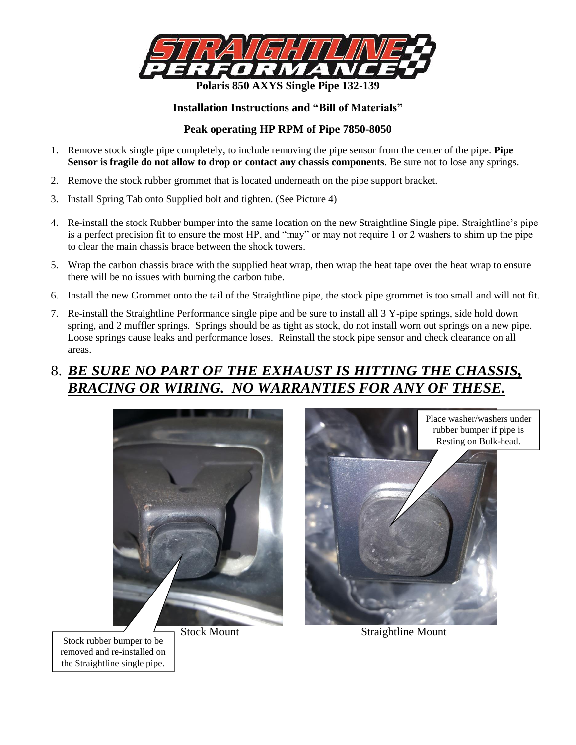

### **Installation Instructions and "Bill of Materials"**

### **Peak operating HP RPM of Pipe 7850-8050**

- 1. Remove stock single pipe completely, to include removing the pipe sensor from the center of the pipe. **Pipe Sensor is fragile do not allow to drop or contact any chassis components**. Be sure not to lose any springs.
- 2. Remove the stock rubber grommet that is located underneath on the pipe support bracket.
- 3. Install Spring Tab onto Supplied bolt and tighten. (See Picture 4)
- 4. Re-install the stock Rubber bumper into the same location on the new Straightline Single pipe. Straightline's pipe is a perfect precision fit to ensure the most HP, and "may" or may not require 1 or 2 washers to shim up the pipe to clear the main chassis brace between the shock towers.
- 5. Wrap the carbon chassis brace with the supplied heat wrap, then wrap the heat tape over the heat wrap to ensure there will be no issues with burning the carbon tube.
- 6. Install the new Grommet onto the tail of the Straightline pipe, the stock pipe grommet is too small and will not fit.
- 7. Re-install the Straightline Performance single pipe and be sure to install all 3 Y-pipe springs, side hold down spring, and 2 muffler springs. Springs should be as tight as stock, do not install worn out springs on a new pipe. Loose springs cause leaks and performance loses. Reinstall the stock pipe sensor and check clearance on all areas.

# 8. *BE SURE NO PART OF THE EXHAUST IS HITTING THE CHASSIS, BRACING OR WIRING. NO WARRANTIES FOR ANY OF THESE.*





Stock rubber bumper to be removed and re-installed on the Straightline single pipe.

Stock Mount Straightline Mount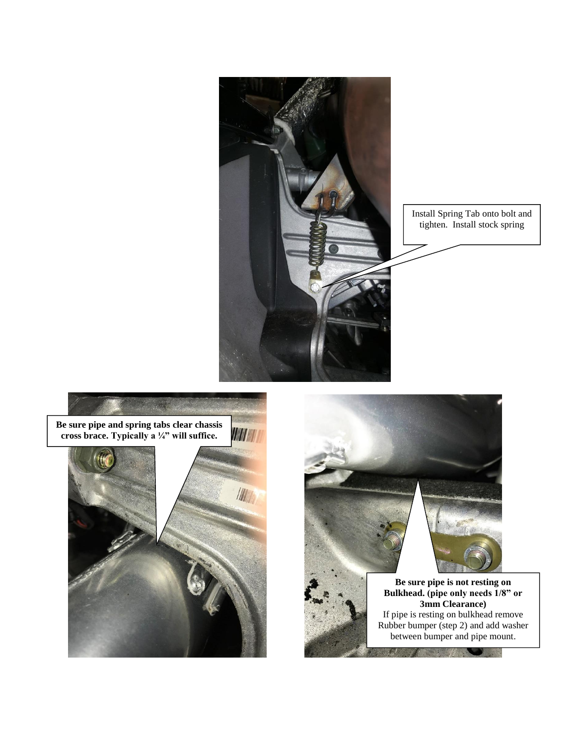

Install Spring Tab onto bolt and tighten. Install stock spring



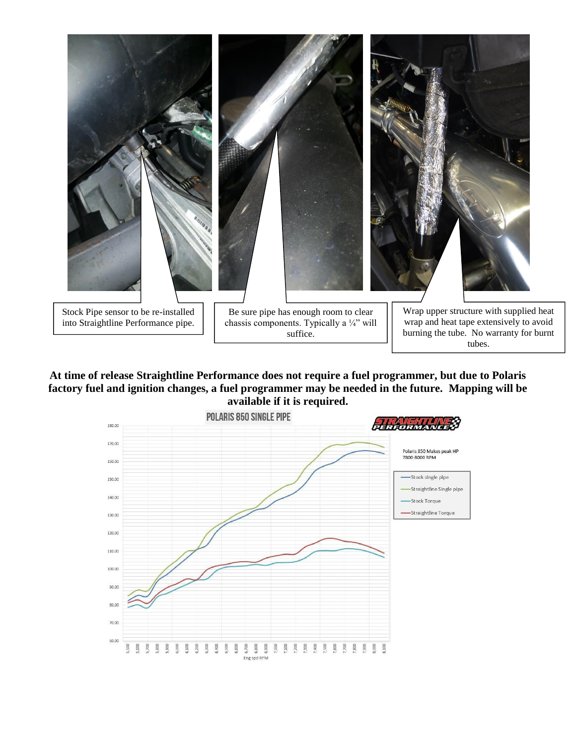

**At time of release Straightline Performance does not require a fuel programmer, but due to Polaris factory fuel and ignition changes, a fuel programmer may be needed in the future. Mapping will be available if it is required.**

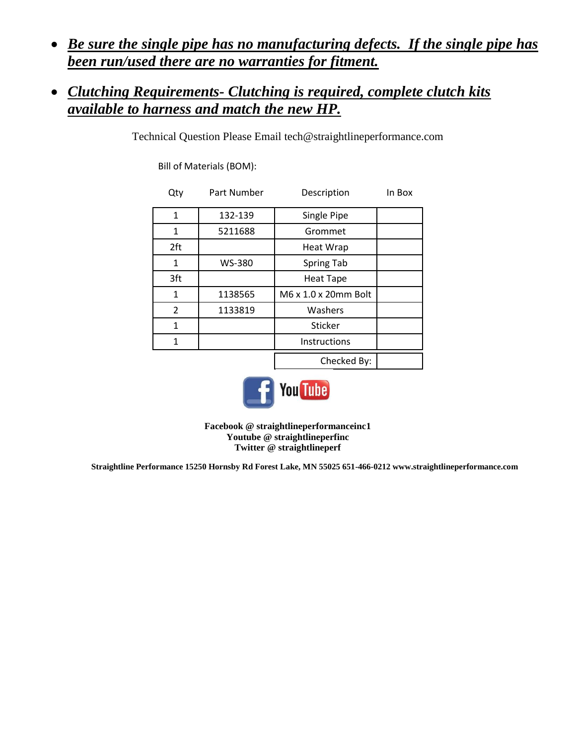*Be sure the single pipe has no manufacturing defects. If the single pipe has been run/used there are no warranties for fitment.* 

## *Clutching Requirements- Clutching is required, complete clutch kits available to harness and match the new HP.*

Technical Question Please Email [tech@straightlineperformance.com](mailto:tech@straightlineperformance.com)

Bill of Materials (BOM):

| Qty          | Part Number | Description          | In Box |
|--------------|-------------|----------------------|--------|
| 1            | 132-139     | Single Pipe          |        |
| 1            | 5211688     | Grommet              |        |
| 2ft          |             | <b>Heat Wrap</b>     |        |
| 1            | WS-380      | Spring Tab           |        |
| 3ft          |             | <b>Heat Tape</b>     |        |
| $\mathbf{1}$ | 1138565     | M6 x 1.0 x 20mm Bolt |        |
| 2            | 1133819     | Washers              |        |
| 1            |             | Sticker              |        |
| 1            |             | <b>Instructions</b>  |        |
|              |             | Checked By:          |        |



**Facebook @ straightlineperformanceinc1 Youtube @ straightlineperfinc Twitter @ straightlineperf**

**Straightline Performance 15250 Hornsby Rd Forest Lake, MN 55025 651-466-021[2 www.straightlineperformance.com](http://www.straightlineperformance.com/)**